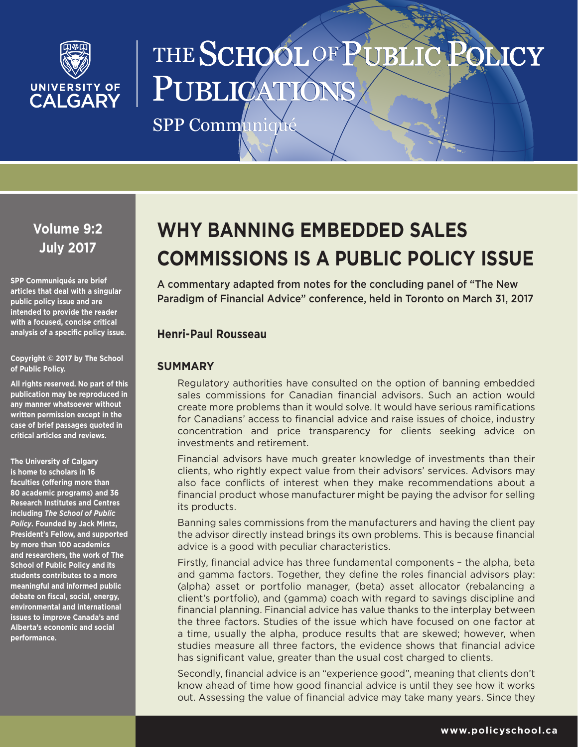

# THE SCHOOL OF PUBLI **LICY** PUBLICAT

SPP Communiqu

**Volume 9:2 July 2017**

**SPP Communiqués are brief articles that deal with a singular public policy issue and are intended to provide the reader with a focused, concise critical analysis of a specific policy issue.**

## **Copyright © 2017 by The School of Public Policy.**

**All rights reserved. No part of this publication may be reproduced in any manner whatsoever without written permission except in the case of brief passages quoted in critical articles and reviews.**

**The University of Calgary is home to scholars in 16 faculties (offering more than 80 academic programs) and 36 Research Institutes and Centres including** *The School of Public Policy***. Founded by Jack Mintz, President's Fellow, and supported by more than 100 academics and researchers, the work of The School of Public Policy and its students contributes to a more meaningful and informed public debate on fiscal, social, energy, environmental and international issues to improve Canada's and Alberta's economic and social performance.**

# **WHY BANNING EMBEDDED SALES COMMISSIONS IS A PUBLIC POLICY ISSUE**

A commentary adapted from notes for the concluding panel of "The New Paradigm of Financial Advice" conference, held in Toronto on March 31, 2017

# **Henri-Paul Rousseau**

## **SUMMARY**

Regulatory authorities have consulted on the option of banning embedded sales commissions for Canadian financial advisors. Such an action would create more problems than it would solve. It would have serious ramifications for Canadians' access to financial advice and raise issues of choice, industry concentration and price transparency for clients seeking advice on investments and retirement.

Financial advisors have much greater knowledge of investments than their clients, who rightly expect value from their advisors' services. Advisors may also face conflicts of interest when they make recommendations about a financial product whose manufacturer might be paying the advisor for selling its products.

Banning sales commissions from the manufacturers and having the client pay the advisor directly instead brings its own problems. This is because financial advice is a good with peculiar characteristics.

Firstly, financial advice has three fundamental components – the alpha, beta and gamma factors. Together, they define the roles financial advisors play: (alpha) asset or portfolio manager, (beta) asset allocator (rebalancing a client's portfolio), and (gamma) coach with regard to savings discipline and financial planning. Financial advice has value thanks to the interplay between the three factors. Studies of the issue which have focused on one factor at a time, usually the alpha, produce results that are skewed; however, when studies measure all three factors, the evidence shows that financial advice has significant value, greater than the usual cost charged to clients.

Secondly, financial advice is an "experience good", meaning that clients don't know ahead of time how good financial advice is until they see how it works out. Assessing the value of financial advice may take many years. Since they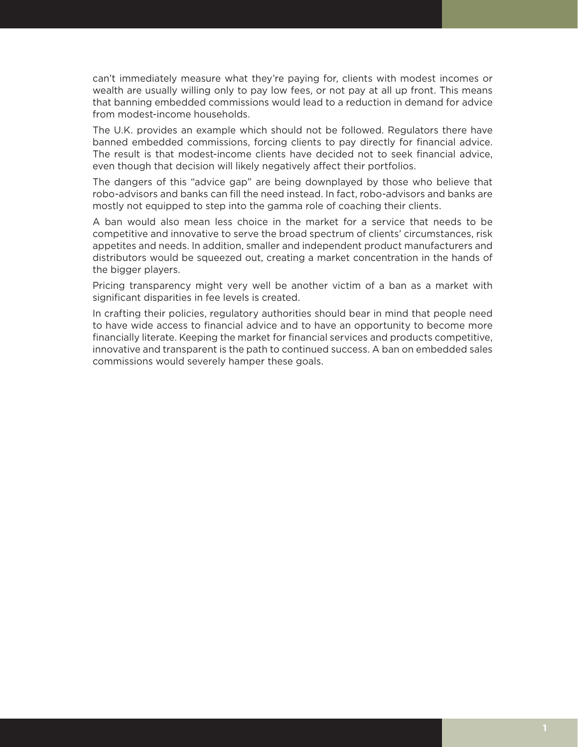can't immediately measure what they're paying for, clients with modest incomes or wealth are usually willing only to pay low fees, or not pay at all up front. This means that banning embedded commissions would lead to a reduction in demand for advice from modest-income households.

The U.K. provides an example which should not be followed. Regulators there have banned embedded commissions, forcing clients to pay directly for financial advice. The result is that modest-income clients have decided not to seek financial advice, even though that decision will likely negatively affect their portfolios.

The dangers of this "advice gap" are being downplayed by those who believe that robo-advisors and banks can fill the need instead. In fact, robo-advisors and banks are mostly not equipped to step into the gamma role of coaching their clients.

A ban would also mean less choice in the market for a service that needs to be competitive and innovative to serve the broad spectrum of clients' circumstances, risk appetites and needs. In addition, smaller and independent product manufacturers and distributors would be squeezed out, creating a market concentration in the hands of the bigger players.

Pricing transparency might very well be another victim of a ban as a market with significant disparities in fee levels is created.

In crafting their policies, regulatory authorities should bear in mind that people need to have wide access to financial advice and to have an opportunity to become more financially literate. Keeping the market for financial services and products competitive, innovative and transparent is the path to continued success. A ban on embedded sales commissions would severely hamper these goals.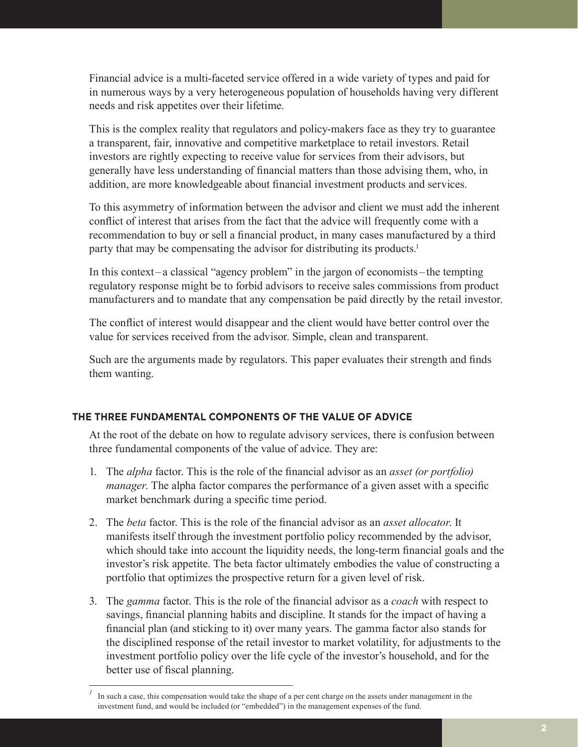Financial advice is a multi-faceted service offered in a wide variety of types and paid for in numerous ways by a very heterogeneous population of households having very different needs and risk appetites over their lifetime.

This is the complex reality that regulators and policy-makers face as they try to guarantee a transparent, fair, innovative and competitive marketplace to retail investors. Retail investors are rightly expecting to receive value for services from their advisors, but generally have less understanding of financial matters than those advising them, who, in addition, are more knowledgeable about financial investment products and services.

To this asymmetry of information between the advisor and client we must add the inherent conflict of interest that arises from the fact that the advice will frequently come with a recommendation to buy or sell a financial product, in many cases manufactured by a third party that may be compensating the advisor for distributing its products.<sup>1</sup>

In this context– a classical "agency problem" in the jargon of economists – the tempting regulatory response might be to forbid advisors to receive sales commissions from product manufacturers and to mandate that any compensation be paid directly by the retail investor.

The conflict of interest would disappear and the client would have better control over the value for services received from the advisor. Simple, clean and transparent.

Such are the arguments made by regulators. This paper evaluates their strength and finds them wanting.

## **THE THREE FUNDAMENTAL COMPONENTS OF THE VALUE OF ADVICE**

At the root of the debate on how to regulate advisory services, there is confusion between three fundamental components of the value of advice. They are:

- 1. The *alpha* factor. This is the role of the financial advisor as an *asset (or portfolio) manager*. The alpha factor compares the performance of a given asset with a specific market benchmark during a specific time period.
- 2. The *beta* factor. This is the role of the financial advisor as an *asset allocator*. It manifests itself through the investment portfolio policy recommended by the advisor, which should take into account the liquidity needs, the long-term financial goals and the investor's risk appetite. The beta factor ultimately embodies the value of constructing a portfolio that optimizes the prospective return for a given level of risk.
- 3. The *gamma* factor. This is the role of the financial advisor as a *coach* with respect to savings, financial planning habits and discipline. It stands for the impact of having a financial plan (and sticking to it) over many years. The gamma factor also stands for the disciplined response of the retail investor to market volatility, for adjustments to the investment portfolio policy over the life cycle of the investor's household, and for the better use of fiscal planning.

*<sup>1</sup>* In such a case, this compensation would take the shape of a per cent charge on the assets under management in the investment fund, and would be included (or "embedded") in the management expenses of the fund.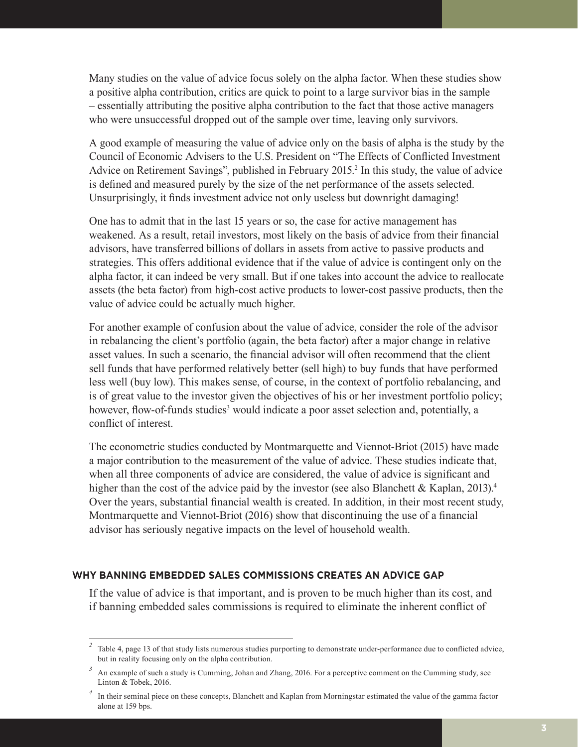Many studies on the value of advice focus solely on the alpha factor. When these studies show a positive alpha contribution, critics are quick to point to a large survivor bias in the sample – essentially attributing the positive alpha contribution to the fact that those active managers who were unsuccessful dropped out of the sample over time, leaving only survivors.

A good example of measuring the value of advice only on the basis of alpha is the study by the Council of Economic Advisers to the U.S. President on "The Effects of Conflicted Investment Advice on Retirement Savings", published in February 2015.<sup>2</sup> In this study, the value of advice is defined and measured purely by the size of the net performance of the assets selected. Unsurprisingly, it finds investment advice not only useless but downright damaging!

One has to admit that in the last 15 years or so, the case for active management has weakened. As a result, retail investors, most likely on the basis of advice from their financial advisors, have transferred billions of dollars in assets from active to passive products and strategies. This offers additional evidence that if the value of advice is contingent only on the alpha factor, it can indeed be very small. But if one takes into account the advice to reallocate assets (the beta factor) from high-cost active products to lower-cost passive products, then the value of advice could be actually much higher.

For another example of confusion about the value of advice, consider the role of the advisor in rebalancing the client's portfolio (again, the beta factor) after a major change in relative asset values. In such a scenario, the financial advisor will often recommend that the client sell funds that have performed relatively better (sell high) to buy funds that have performed less well (buy low). This makes sense, of course, in the context of portfolio rebalancing, and is of great value to the investor given the objectives of his or her investment portfolio policy; however, flow-of-funds studies<sup>3</sup> would indicate a poor asset selection and, potentially, a conflict of interest.

The econometric studies conducted by Montmarquette and Viennot-Briot (2015) have made a major contribution to the measurement of the value of advice. These studies indicate that, when all three components of advice are considered, the value of advice is significant and higher than the cost of the advice paid by the investor (see also Blanchett & Kaplan, 2013).<sup>4</sup> Over the years, substantial financial wealth is created. In addition, in their most recent study, Montmarquette and Viennot-Briot (2016) show that discontinuing the use of a financial advisor has seriously negative impacts on the level of household wealth.

## **WHY BANNING EMBEDDED SALES COMMISSIONS CREATES AN ADVICE GAP**

If the value of advice is that important, and is proven to be much higher than its cost, and if banning embedded sales commissions is required to eliminate the inherent conflict of

*<sup>2</sup>* Table 4, page 13 of that study lists numerous studies purporting to demonstrate under-performance due to conflicted advice, but in reality focusing only on the alpha contribution.

*<sup>3</sup>* An example of such a study is Cumming, Johan and Zhang, 2016. For a perceptive comment on the Cumming study, see Linton & Tobek, 2016.

*<sup>4</sup>* In their seminal piece on these concepts, Blanchett and Kaplan from Morningstar estimated the value of the gamma factor alone at 159 bps.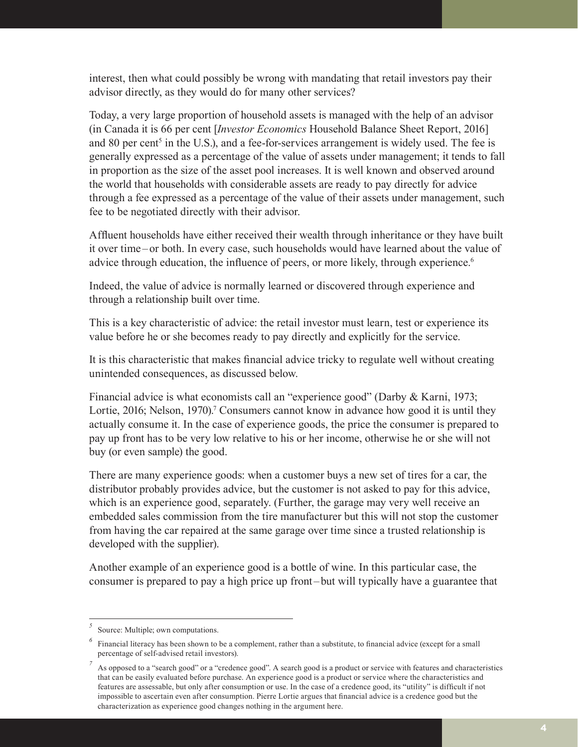interest, then what could possibly be wrong with mandating that retail investors pay their advisor directly, as they would do for many other services?

Today, a very large proportion of household assets is managed with the help of an advisor (in Canada it is 66 per cent [*Investor Economics* Household Balance Sheet Report, 2016] and 80 per cent<sup>5</sup> in the U.S.), and a fee-for-services arrangement is widely used. The fee is generally expressed as a percentage of the value of assets under management; it tends to fall in proportion as the size of the asset pool increases. It is well known and observed around the world that households with considerable assets are ready to pay directly for advice through a fee expressed as a percentage of the value of their assets under management, such fee to be negotiated directly with their advisor.

Affluent households have either received their wealth through inheritance or they have built it over time– or both. In every case, such households would have learned about the value of advice through education, the influence of peers, or more likely, through experience.<sup>6</sup>

Indeed, the value of advice is normally learned or discovered through experience and through a relationship built over time.

This is a key characteristic of advice: the retail investor must learn, test or experience its value before he or she becomes ready to pay directly and explicitly for the service.

It is this characteristic that makes financial advice tricky to regulate well without creating unintended consequences, as discussed below.

Financial advice is what economists call an "experience good" (Darby & Karni, 1973; Lortie, 2016; Nelson, 1970).<sup>7</sup> Consumers cannot know in advance how good it is until they actually consume it. In the case of experience goods, the price the consumer is prepared to pay up front has to be very low relative to his or her income, otherwise he or she will not buy (or even sample) the good.

There are many experience goods: when a customer buys a new set of tires for a car, the distributor probably provides advice, but the customer is not asked to pay for this advice, which is an experience good, separately. (Further, the garage may very well receive an embedded sales commission from the tire manufacturer but this will not stop the customer from having the car repaired at the same garage over time since a trusted relationship is developed with the supplier).

Another example of an experience good is a bottle of wine. In this particular case, the consumer is prepared to pay a high price up front– but will typically have a guarantee that

*<sup>5</sup>* Source: Multiple; own computations.

Financial literacy has been shown to be a complement, rather than a substitute, to financial advice (except for a small percentage of self-advised retail investors).

As opposed to a "search good" or a "credence good". A search good is a product or service with features and characteristics that can be easily evaluated before purchase. An experience good is a product or service where the characteristics and features are assessable, but only after consumption or use. In the case of a credence good, its "utility" is difficult if not impossible to ascertain even after consumption. Pierre Lortie argues that financial advice is a credence good but the characterization as experience good changes nothing in the argument here.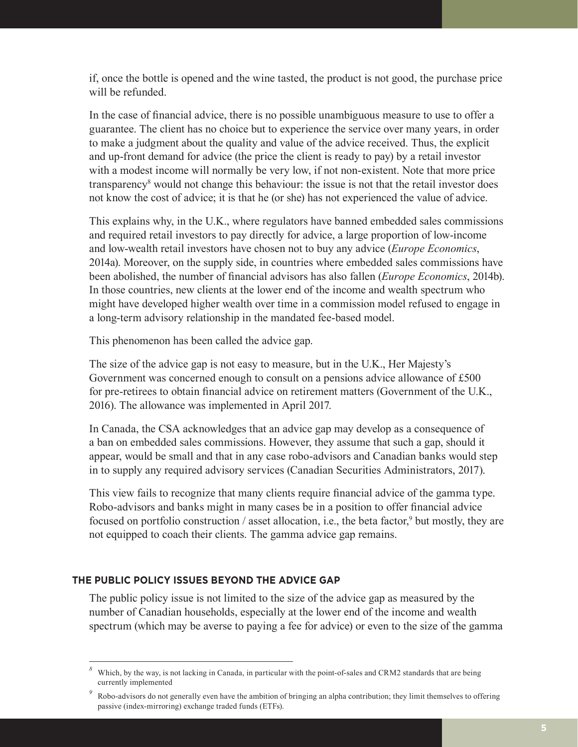if, once the bottle is opened and the wine tasted, the product is not good, the purchase price will be refunded.

In the case of financial advice, there is no possible unambiguous measure to use to offer a guarantee. The client has no choice but to experience the service over many years, in order to make a judgment about the quality and value of the advice received. Thus, the explicit and up-front demand for advice (the price the client is ready to pay) by a retail investor with a modest income will normally be very low, if not non-existent. Note that more price transparency<sup>8</sup> would not change this behaviour: the issue is not that the retail investor does not know the cost of advice; it is that he (or she) has not experienced the value of advice.

This explains why, in the U.K., where regulators have banned embedded sales commissions and required retail investors to pay directly for advice, a large proportion of low-income and low-wealth retail investors have chosen not to buy any advice (*Europe Economics*, 2014a). Moreover, on the supply side, in countries where embedded sales commissions have been abolished, the number of financial advisors has also fallen (*Europe Economics*, 2014b). In those countries, new clients at the lower end of the income and wealth spectrum who might have developed higher wealth over time in a commission model refused to engage in a long-term advisory relationship in the mandated fee-based model.

This phenomenon has been called the advice gap.

The size of the advice gap is not easy to measure, but in the U.K., Her Majesty's Government was concerned enough to consult on a pensions advice allowance of £500 for pre-retirees to obtain financial advice on retirement matters (Government of the U.K., 2016). The allowance was implemented in April 2017.

In Canada, the CSA acknowledges that an advice gap may develop as a consequence of a ban on embedded sales commissions. However, they assume that such a gap, should it appear, would be small and that in any case robo-advisors and Canadian banks would step in to supply any required advisory services (Canadian Securities Administrators, 2017).

This view fails to recognize that many clients require financial advice of the gamma type. Robo-advisors and banks might in many cases be in a position to offer financial advice focused on portfolio construction / asset allocation, i.e., the beta factor,<sup>9</sup> but mostly, they are not equipped to coach their clients. The gamma advice gap remains.

## **THE PUBLIC POLICY ISSUES BEYOND THE ADVICE GAP**

The public policy issue is not limited to the size of the advice gap as measured by the number of Canadian households, especially at the lower end of the income and wealth spectrum (which may be averse to paying a fee for advice) or even to the size of the gamma

*<sup>8</sup>* Which, by the way, is not lacking in Canada, in particular with the point-of-sales and CRM2 standards that are being currently implemented

*<sup>9</sup>* Robo-advisors do not generally even have the ambition of bringing an alpha contribution; they limit themselves to offering passive (index-mirroring) exchange traded funds (ETFs).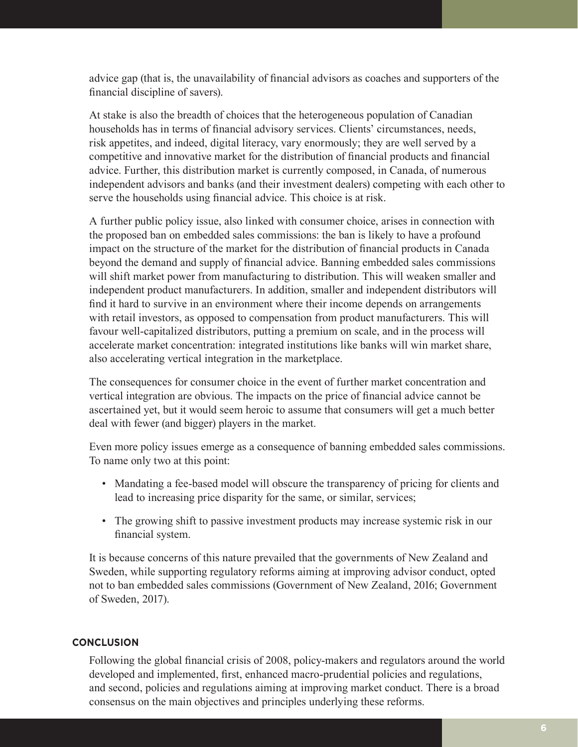advice gap (that is, the unavailability of financial advisors as coaches and supporters of the financial discipline of savers).

At stake is also the breadth of choices that the heterogeneous population of Canadian households has in terms of financial advisory services. Clients' circumstances, needs, risk appetites, and indeed, digital literacy, vary enormously; they are well served by a competitive and innovative market for the distribution of financial products and financial advice. Further, this distribution market is currently composed, in Canada, of numerous independent advisors and banks (and their investment dealers) competing with each other to serve the households using financial advice. This choice is at risk.

A further public policy issue, also linked with consumer choice, arises in connection with the proposed ban on embedded sales commissions: the ban is likely to have a profound impact on the structure of the market for the distribution of financial products in Canada beyond the demand and supply of financial advice. Banning embedded sales commissions will shift market power from manufacturing to distribution. This will weaken smaller and independent product manufacturers. In addition, smaller and independent distributors will find it hard to survive in an environment where their income depends on arrangements with retail investors, as opposed to compensation from product manufacturers. This will favour well-capitalized distributors, putting a premium on scale, and in the process will accelerate market concentration: integrated institutions like banks will win market share, also accelerating vertical integration in the marketplace.

The consequences for consumer choice in the event of further market concentration and vertical integration are obvious. The impacts on the price of financial advice cannot be ascertained yet, but it would seem heroic to assume that consumers will get a much better deal with fewer (and bigger) players in the market.

Even more policy issues emerge as a consequence of banning embedded sales commissions. To name only two at this point:

- Mandating a fee-based model will obscure the transparency of pricing for clients and lead to increasing price disparity for the same, or similar, services;
- The growing shift to passive investment products may increase systemic risk in our financial system.

It is because concerns of this nature prevailed that the governments of New Zealand and Sweden, while supporting regulatory reforms aiming at improving advisor conduct, opted not to ban embedded sales commissions (Government of New Zealand, 2016; Government of Sweden, 2017).

## **CONCLUSION**

Following the global financial crisis of 2008, policy-makers and regulators around the world developed and implemented, first, enhanced macro-prudential policies and regulations, and second, policies and regulations aiming at improving market conduct. There is a broad consensus on the main objectives and principles underlying these reforms.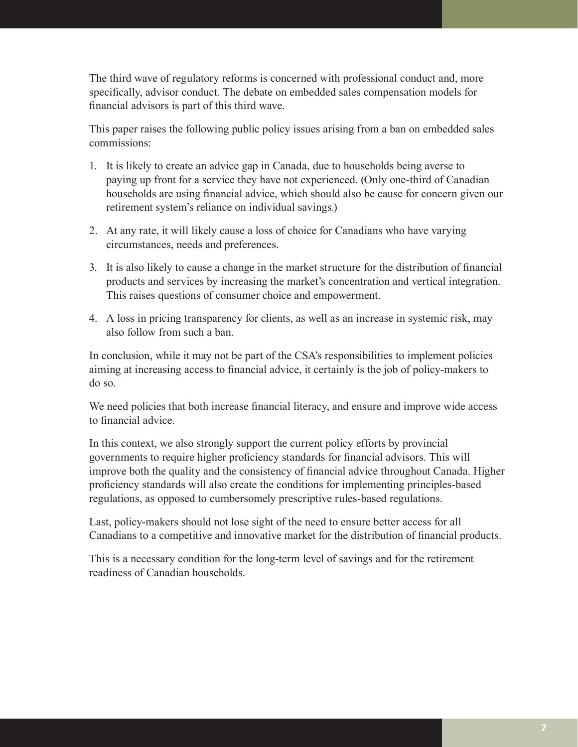The third wave of regulatory reforms is concerned with professional conduct and, more specifically, advisor conduct. The debate on embedded sales compensation models for financial advisors is part of this third wave.

This paper raises the following public policy issues arising from a ban on embedded sales commissions:

- 1. It is likely to create an advice gap in Canada, due to households being averse to paying up front for a service they have not experienced. (Only one-third of Canadian households are using financial advice, which should also be cause for concern given our retirement system's reliance on individual savings.)
- 2. At any rate, it will likely cause a loss of choice for Canadians who have varying circumstances, needs and preferences.
- 3. It is also likely to cause a change in the market structure for the distribution of financial products and services by increasing the market's concentration and vertical integration. This raises questions of consumer choice and empowerment.
- 4. A loss in pricing transparency for clients, as well as an increase in systemic risk, may also follow from such a ban.

In conclusion, while it may not be part of the CSA's responsibilities to implement policies aiming at increasing access to financial advice, it certainly is the job of policy-makers to do so.

We need policies that both increase financial literacy, and ensure and improve wide access to financial advice.

In this context, we also strongly support the current policy efforts by provincial governments to require higher proficiency standards for financial advisors. This will improve both the quality and the consistency of financial advice throughout Canada. Higher proficiency standards will also create the conditions for implementing principles-based regulations, as opposed to cumbersomely prescriptive rules-based regulations.

Last, policy-makers should not lose sight of the need to ensure better access for all Canadians to a competitive and innovative market for the distribution of financial products.

This is a necessary condition for the long-term level of savings and for the retirement readiness of Canadian households.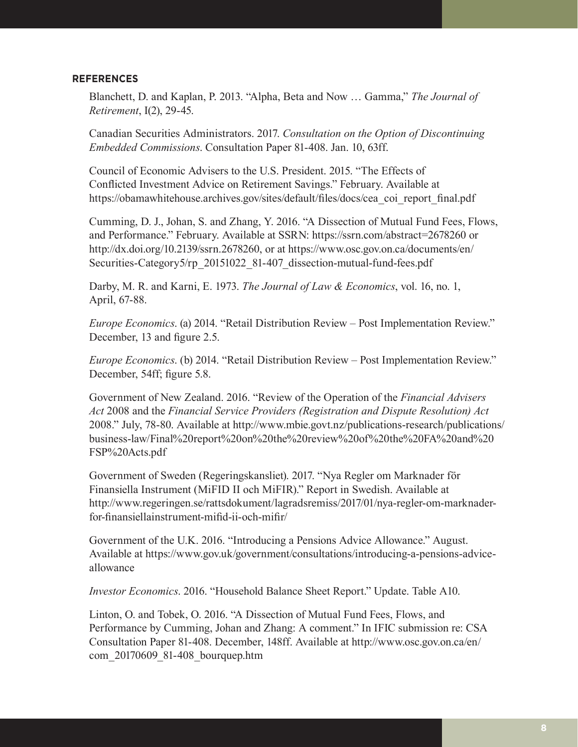## **REFERENCES**

Blanchett, D. and Kaplan, P. 2013. "Alpha, Beta and Now … Gamma," *The Journal of Retirement*, I(2), 29-45.

Canadian Securities Administrators. 2017. *Consultation on the Option of Discontinuing Embedded Commissions*. Consultation Paper 81-408. Jan. 10, 63ff.

Council of Economic Advisers to the U.S. President. 2015. "The Effects of Conflicted Investment Advice on Retirement Savings." February. Available at https://obamawhitehouse.archives.gov/sites/default/files/docs/cea\_coi\_report\_final.pdf

Cumming, D. J., Johan, S. and Zhang, Y. 2016. "A Dissection of Mutual Fund Fees, Flows, and Performance." February. Available at SSRN: https://ssrn.com/abstract=2678260 or http://dx.doi.org/10.2139/ssrn.2678260, or at https://www.osc.gov.on.ca/documents/en/ Securities-Category5/rp\_20151022\_81-407\_dissection-mutual-fund-fees.pdf

Darby, M. R. and Karni, E. 1973. *The Journal of Law & Economics*, vol. 16, no. 1, April, 67-88.

*Europe Economics*. (a) 2014. "Retail Distribution Review – Post Implementation Review." December, 13 and figure 2.5.

*Europe Economics*. (b) 2014. "Retail Distribution Review – Post Implementation Review." December, 54ff; figure 5.8.

Government of New Zealand. 2016. "Review of the Operation of the *Financial Advisers Act* 2008 and the *Financial Service Providers (Registration and Dispute Resolution) Act* 2008." July, 78-80. Available at http://www.mbie.govt.nz/publications-research/publications/ business-law/Final%20report%20on%20the%20review%20of%20the%20FA%20and%20 FSP%20Acts.pdf

Government of Sweden (Regeringskansliet). 2017. "Nya Regler om Marknader för Finansiella Instrument (MiFID II och MiFIR)." Report in Swedish. Available at http://www.regeringen.se/rattsdokument/lagradsremiss/2017/01/nya-regler-om-marknaderfor-finansiellainstrument-mifid-ii-och-mifir/

Government of the U.K. 2016. "Introducing a Pensions Advice Allowance." August. Available at https://www.gov.uk/government/consultations/introducing-a-pensions-adviceallowance

*Investor Economics*. 2016. "Household Balance Sheet Report." Update. Table A10.

Linton, O. and Tobek, O. 2016. "A Dissection of Mutual Fund Fees, Flows, and Performance by Cumming, Johan and Zhang: A comment." In IFIC submission re: CSA Consultation Paper 81-408. December, 148ff. Available at http://www.osc.gov.on.ca/en/ com\_20170609\_81-408\_bourquep.htm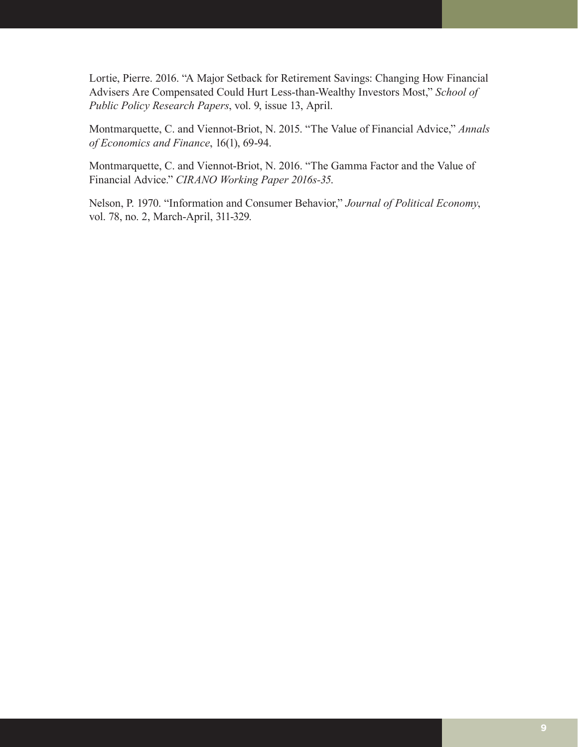Lortie, Pierre. 2016. "A Major Setback for Retirement Savings: Changing How Financial Advisers Are Compensated Could Hurt Less-than-Wealthy Investors Most," *School of Public Policy Research Papers*, vol. 9, issue 13, April.

Montmarquette, C. and Viennot-Briot, N. 2015. "The Value of Financial Advice," *Annals of Economics and Finance*, 16(1), 69-94.

Montmarquette, C. and Viennot-Briot, N. 2016. "The Gamma Factor and the Value of Financial Advice." *CIRANO Working Paper 2016s-35*.

Nelson, P. 1970. "Information and Consumer Behavior," *Journal of Political Economy*, vol. 78, no. 2, March-April, 311-329.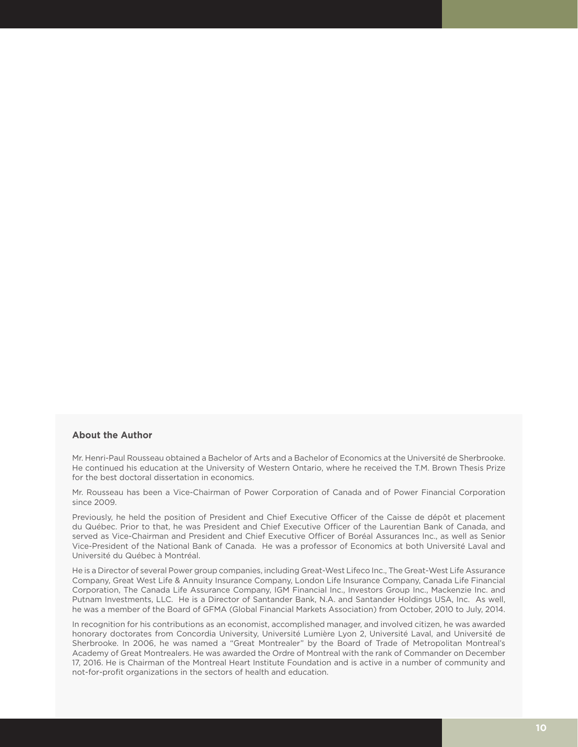## **About the Author**

Mr. Henri-Paul Rousseau obtained a Bachelor of Arts and a Bachelor of Economics at the Université de Sherbrooke. He continued his education at the University of Western Ontario, where he received the T.M. Brown Thesis Prize for the best doctoral dissertation in economics.

Mr. Rousseau has been a Vice-Chairman of Power Corporation of Canada and of Power Financial Corporation since 2009.

Previously, he held the position of President and Chief Executive Officer of the Caisse de dépôt et placement du Québec. Prior to that, he was President and Chief Executive Officer of the Laurentian Bank of Canada, and served as Vice-Chairman and President and Chief Executive Officer of Boréal Assurances Inc., as well as Senior Vice-President of the National Bank of Canada. He was a professor of Economics at both Université Laval and Université du Québec à Montréal.

He is a Director of several Power group companies, including Great-West Lifeco Inc., The Great-West Life Assurance Company, Great West Life & Annuity Insurance Company, London Life Insurance Company, Canada Life Financial Corporation, The Canada Life Assurance Company, IGM Financial Inc., Investors Group Inc., Mackenzie Inc. and Putnam Investments, LLC. He is a Director of Santander Bank, N.A. and Santander Holdings USA, Inc. As well, he was a member of the Board of GFMA (Global Financial Markets Association) from October, 2010 to July, 2014.

In recognition for his contributions as an economist, accomplished manager, and involved citizen, he was awarded honorary doctorates from Concordia University, Université Lumière Lyon 2, Université Laval, and Université de Sherbrooke. In 2006, he was named a "Great Montrealer" by the Board of Trade of Metropolitan Montreal's Academy of Great Montrealers. He was awarded the Ordre of Montreal with the rank of Commander on December 17, 2016. He is Chairman of the Montreal Heart Institute Foundation and is active in a number of community and not-for-profit organizations in the sectors of health and education.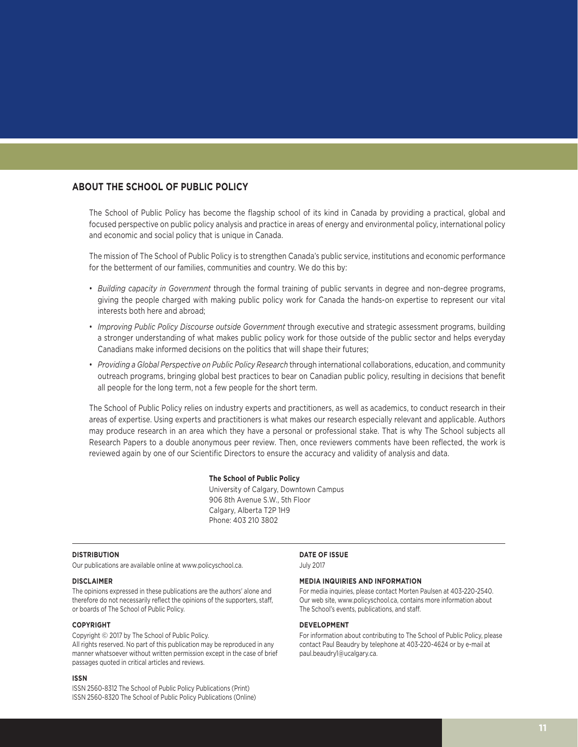## **ABOUT THE SCHOOL OF PUBLIC POLICY**

The School of Public Policy has become the flagship school of its kind in Canada by providing a practical, global and focused perspective on public policy analysis and practice in areas of energy and environmental policy, international policy and economic and social policy that is unique in Canada.

The mission of The School of Public Policy is to strengthen Canada's public service, institutions and economic performance for the betterment of our families, communities and country. We do this by:

- *Building capacity in Government* through the formal training of public servants in degree and non-degree programs, giving the people charged with making public policy work for Canada the hands-on expertise to represent our vital interests both here and abroad;
- *Improving Public Policy Discourse outside Government* through executive and strategic assessment programs, building a stronger understanding of what makes public policy work for those outside of the public sector and helps everyday Canadians make informed decisions on the politics that will shape their futures;
- *Providing a Global Perspective on Public Policy Research* through international collaborations, education, and community outreach programs, bringing global best practices to bear on Canadian public policy, resulting in decisions that benefit all people for the long term, not a few people for the short term.

The School of Public Policy relies on industry experts and practitioners, as well as academics, to conduct research in their areas of expertise. Using experts and practitioners is what makes our research especially relevant and applicable. Authors may produce research in an area which they have a personal or professional stake. That is why The School subjects all Research Papers to a double anonymous peer review. Then, once reviewers comments have been reflected, the work is reviewed again by one of our Scientific Directors to ensure the accuracy and validity of analysis and data.

#### **The School of Public Policy**

University of Calgary, Downtown Campus 906 8th Avenue S.W., 5th Floor Calgary, Alberta T2P 1H9 Phone: 403 210 3802

#### **DISTRIBUTION**

Our publications are available online at www.policyschool.ca.

### **DISCLAIMER**

The opinions expressed in these publications are the authors' alone and therefore do not necessarily reflect the opinions of the supporters, staff, or boards of The School of Public Policy.

#### **COPYRIGHT**

Copyright © 2017 by The School of Public Policy. All rights reserved. No part of this publication may be reproduced in any manner whatsoever without written permission except in the case of brief passages quoted in critical articles and reviews.

#### **ISSN**

ISSN 2560-8312 The School of Public Policy Publications (Print) ISSN 2560-8320 The School of Public Policy Publications (Online)

## **DATE OF ISSUE**

July 2017

#### **MEDIA INQUIRIES AND INFORMATION**

For media inquiries, please contact Morten Paulsen at 403-220-2540. Our web site, www.policyschool.ca, contains more information about The School's events, publications, and staff.

### **DEVELOPMENT**

For information about contributing to The School of Public Policy, please contact Paul Beaudry by telephone at 403-220-4624 or by e-mail at paul.beaudry1@ucalgary.ca.